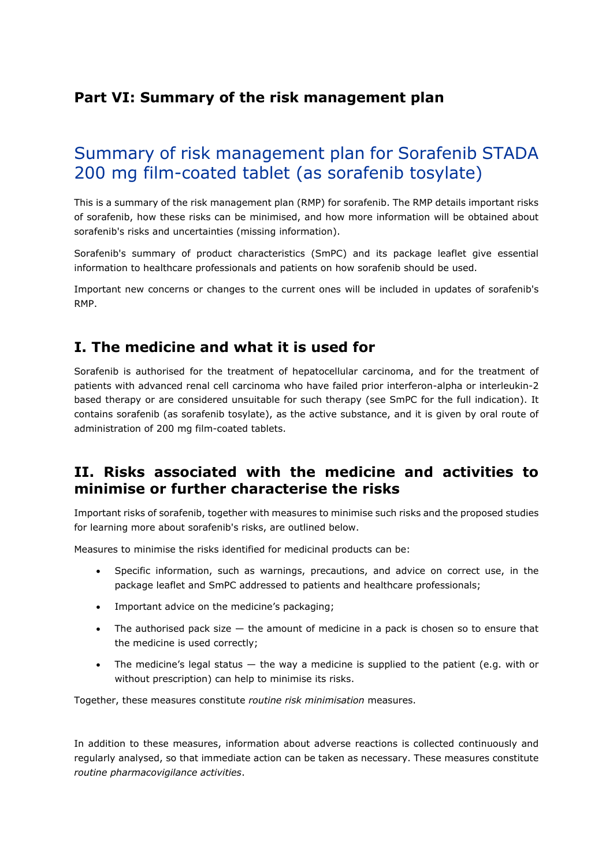# **Part VI: Summary of the risk management plan**

# Summary of risk management plan for Sorafenib STADA 200 mg film-coated tablet (as sorafenib tosylate)

This is a summary of the risk management plan (RMP) for sorafenib. The RMP details important risks of sorafenib, how these risks can be minimised, and how more information will be obtained about sorafenib's risks and uncertainties (missing information).

Sorafenib's summary of product characteristics (SmPC) and its package leaflet give essential information to healthcare professionals and patients on how sorafenib should be used.

Important new concerns or changes to the current ones will be included in updates of sorafenib's RMP.

## **I. The medicine and what it is used for**

Sorafenib is authorised for the treatment of hepatocellular carcinoma, and for the treatment of patients with advanced renal cell carcinoma who have failed prior interferon-alpha or interleukin-2 based therapy or are considered unsuitable for such therapy (see SmPC for the full indication). It contains sorafenib (as sorafenib tosylate), as the active substance, and it is given by oral route of administration of 200 mg film-coated tablets.

## **II. Risks associated with the medicine and activities to minimise or further characterise the risks**

Important risks of sorafenib, together with measures to minimise such risks and the proposed studies for learning more about sorafenib's risks, are outlined below.

Measures to minimise the risks identified for medicinal products can be:

- Specific information, such as warnings, precautions, and advice on correct use, in the package leaflet and SmPC addressed to patients and healthcare professionals;
- Important advice on the medicine's packaging;
- The authorised pack size  $-$  the amount of medicine in a pack is chosen so to ensure that the medicine is used correctly;
- The medicine's legal status  $-$  the way a medicine is supplied to the patient (e.g. with or without prescription) can help to minimise its risks.

Together, these measures constitute *routine risk minimisation* measures.

In addition to these measures, information about adverse reactions is collected continuously and regularly analysed, so that immediate action can be taken as necessary. These measures constitute *routine pharmacovigilance activities*.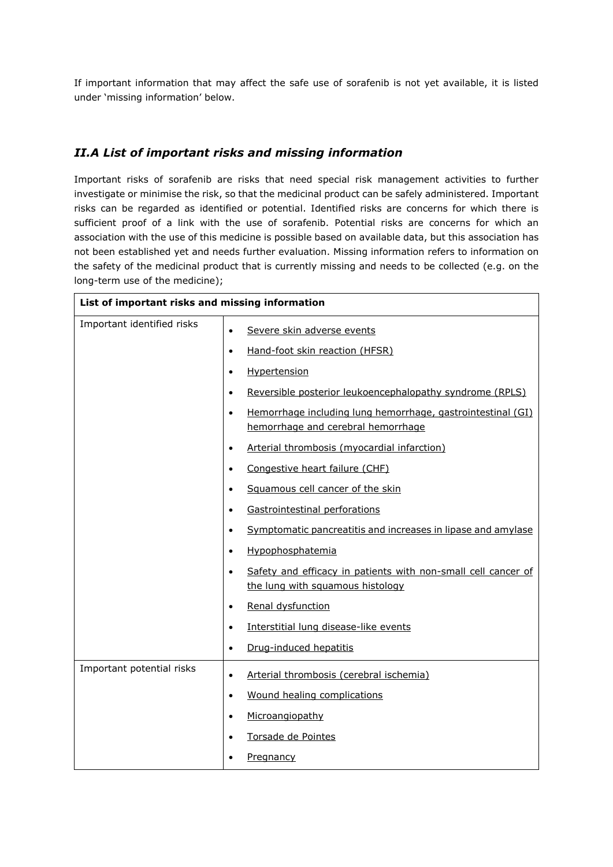If important information that may affect the safe use of sorafenib is not yet available, it is listed under 'missing information' below.

#### *II.A List of important risks and missing information*

Important risks of sorafenib are risks that need special risk management activities to further investigate or minimise the risk, so that the medicinal product can be safely administered. Important risks can be regarded as identified or potential. Identified risks are concerns for which there is sufficient proof of a link with the use of sorafenib. Potential risks are concerns for which an association with the use of this medicine is possible based on available data, but this association has not been established yet and needs further evaluation. Missing information refers to information on the safety of the medicinal product that is currently missing and needs to be collected (e.g. on the long-term use of the medicine);

| List of important risks and missing information |                                                                                                                |  |
|-------------------------------------------------|----------------------------------------------------------------------------------------------------------------|--|
| Important identified risks                      | Severe skin adverse events<br>$\bullet$                                                                        |  |
|                                                 | Hand-foot skin reaction (HFSR)<br>$\bullet$                                                                    |  |
|                                                 | Hypertension<br>$\bullet$                                                                                      |  |
|                                                 | Reversible posterior leukoencephalopathy syndrome (RPLS)<br>$\bullet$                                          |  |
|                                                 | Hemorrhage including lung hemorrhage, gastrointestinal (GI)<br>$\bullet$<br>hemorrhage and cerebral hemorrhage |  |
|                                                 | Arterial thrombosis (myocardial infarction)<br>$\bullet$                                                       |  |
|                                                 | Congestive heart failure (CHF)<br>$\bullet$                                                                    |  |
|                                                 | Squamous cell cancer of the skin<br>$\bullet$                                                                  |  |
|                                                 | Gastrointestinal perforations<br>$\bullet$                                                                     |  |
|                                                 | Symptomatic pancreatitis and increases in lipase and amylase<br>$\bullet$                                      |  |
|                                                 | Hypophosphatemia<br>$\bullet$                                                                                  |  |
|                                                 | Safety and efficacy in patients with non-small cell cancer of<br>$\bullet$<br>the lung with squamous histology |  |
|                                                 | Renal dysfunction<br>$\bullet$                                                                                 |  |
|                                                 | Interstitial lung disease-like events<br>$\bullet$                                                             |  |
|                                                 | Drug-induced hepatitis<br>$\bullet$                                                                            |  |
| Important potential risks                       | Arterial thrombosis (cerebral ischemia)<br>$\bullet$                                                           |  |
|                                                 | Wound healing complications<br>$\bullet$                                                                       |  |
|                                                 | Microangiopathy<br>$\bullet$                                                                                   |  |
|                                                 | Torsade de Pointes<br>$\bullet$                                                                                |  |
|                                                 | <b>Pregnancy</b>                                                                                               |  |